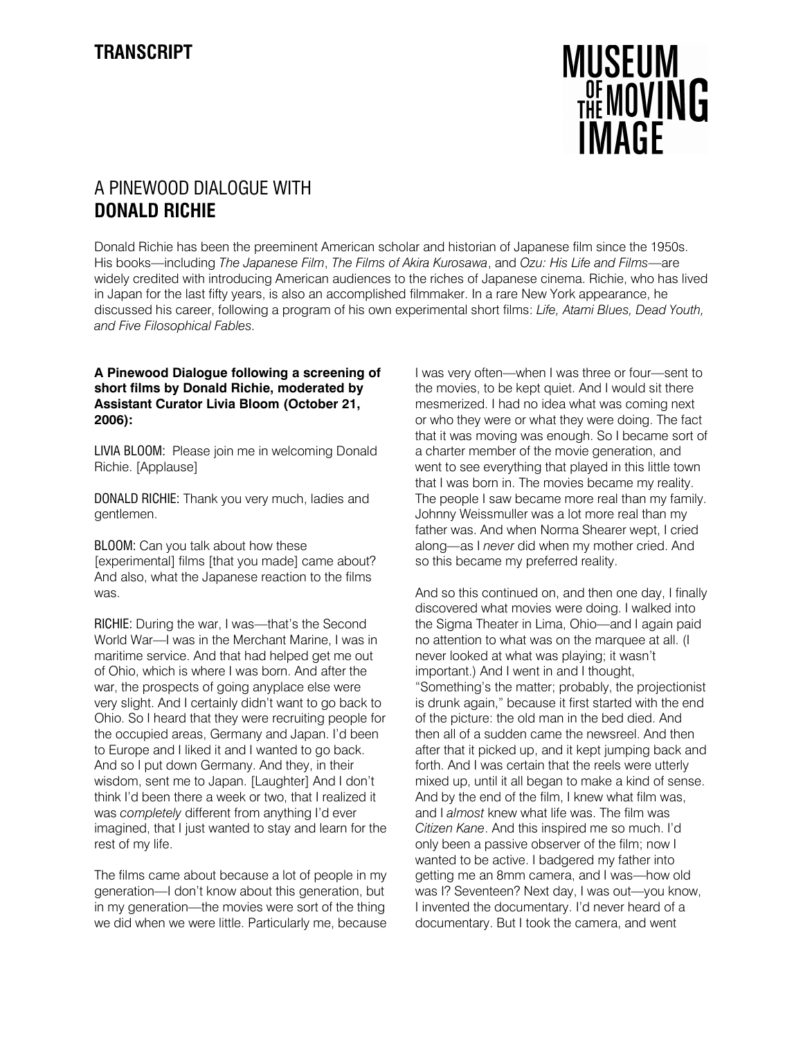# **MUSEUM THE MOVING IMAGF**

## A PINEWOOD DIALOGUE WITH DONALD RICHIE

Donald Richie has been the preeminent American scholar and historian of Japanese film since the 1950s. His books—including The Japanese Film, The Films of Akira Kurosawa, and Ozu: His Life and Films—are widely credited with introducing American audiences to the riches of Japanese cinema. Richie, who has lived in Japan for the last fifty years, is also an accomplished filmmaker. In a rare New York appearance, he discussed his career, following a program of his own experimental short films: Life, Atami Blues, Dead Youth, and Five Filosophical Fables.

### A Pinewood Dialogue following a screening of short films by Donald Richie, moderated by Assistant Curator Livia Bloom (October 21, 2006):

LIVIA BLOOM: Please join me in welcoming Donald Richie. [Applause]

DONALD RICHIE: Thank you very much, ladies and gentlemen.

BLOOM: Can you talk about how these [experimental] films [that you made] came about? And also, what the Japanese reaction to the films was.

RICHIE: During the war, I was—that's the Second World War—I was in the Merchant Marine, I was in maritime service. And that had helped get me out of Ohio, which is where I was born. And after the war, the prospects of going anyplace else were very slight. And I certainly didn't want to go back to Ohio. So I heard that they were recruiting people for the occupied areas, Germany and Japan. I'd been to Europe and I liked it and I wanted to go back. And so I put down Germany. And they, in their wisdom, sent me to Japan. [Laughter] And I don't think I'd been there a week or two, that I realized it was completely different from anything I'd ever imagined, that I just wanted to stay and learn for the rest of my life.

The films came about because a lot of people in my generation—I don't know about this generation, but in my generation—the movies were sort of the thing we did when we were little. Particularly me, because I was very often—when I was three or four—sent to the movies, to be kept quiet. And I would sit there mesmerized. I had no idea what was coming next or who they were or what they were doing. The fact that it was moving was enough. So I became sort of a charter member of the movie generation, and went to see everything that played in this little town that I was born in. The movies became my reality. The people I saw became more real than my family. Johnny Weissmuller was a lot more real than my father was. And when Norma Shearer wept, I cried along—as I never did when my mother cried. And so this became my preferred reality.

And so this continued on, and then one day, I finally discovered what movies were doing. I walked into the Sigma Theater in Lima, Ohio—and I again paid no attention to what was on the marquee at all. (I never looked at what was playing; it wasn't important.) And I went in and I thought, "Something's the matter; probably, the projectionist is drunk again," because it first started with the end of the picture: the old man in the bed died. And then all of a sudden came the newsreel. And then after that it picked up, and it kept jumping back and forth. And I was certain that the reels were utterly mixed up, until it all began to make a kind of sense. And by the end of the film, I knew what film was, and I almost knew what life was. The film was Citizen Kane. And this inspired me so much. I'd only been a passive observer of the film; now I wanted to be active. I badgered my father into getting me an 8mm camera, and I was—how old was I? Seventeen? Next day, I was out—you know, I invented the documentary. I'd never heard of a documentary. But I took the camera, and went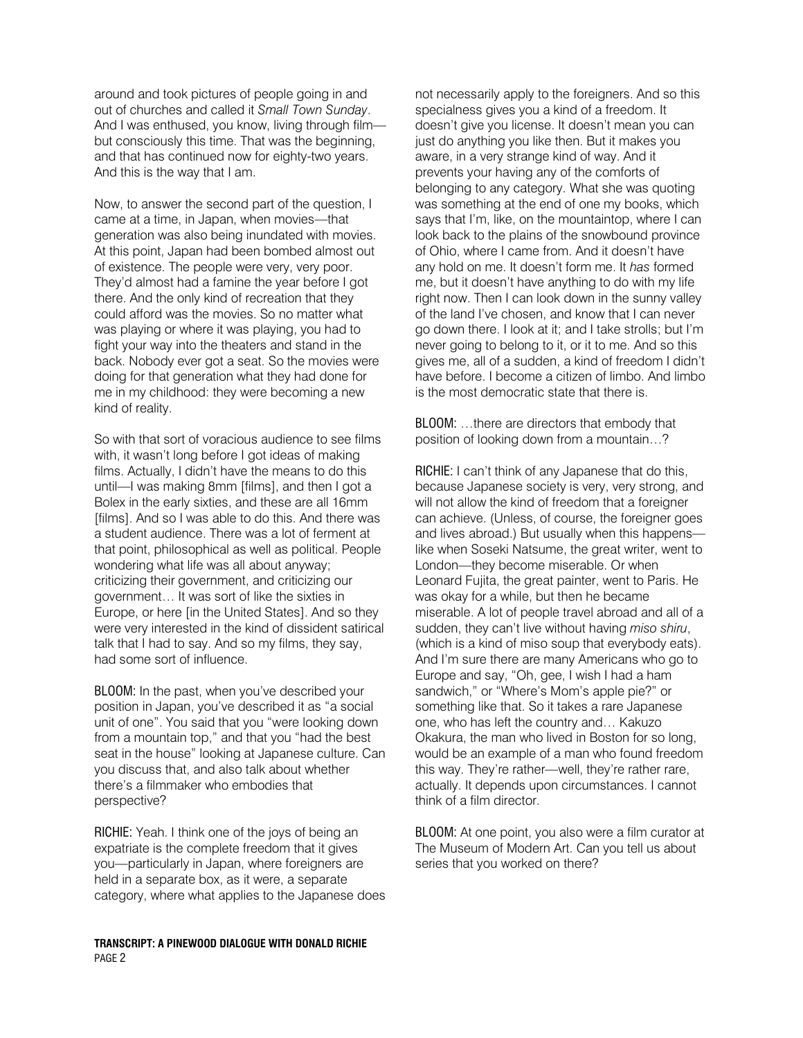around and took pictures of people going in and out of churches and called it Small Town Sunday. And I was enthused, you know, living through film but consciously this time. That was the beginning, and that has continued now for eighty-two years. And this is the way that I am.

Now, to answer the second part of the question, I came at a time, in Japan, when movies—that generation was also being inundated with movies. At this point, Japan had been bombed almost out of existence. The people were very, very poor. They'd almost had a famine the year before I got there. And the only kind of recreation that they could afford was the movies. So no matter what was playing or where it was playing, you had to fight your way into the theaters and stand in the back. Nobody ever got a seat. So the movies were doing for that generation what they had done for me in my childhood: they were becoming a new kind of reality.

So with that sort of voracious audience to see films with, it wasn't long before I got ideas of making films. Actually, I didn't have the means to do this until—I was making 8mm [films], and then I got a Bolex in the early sixties, and these are all 16mm [films]. And so I was able to do this. And there was a student audience. There was a lot of ferment at that point, philosophical as well as political. People wondering what life was all about anyway; criticizing their government, and criticizing our government… It was sort of like the sixties in Europe, or here [in the United States]. And so they were very interested in the kind of dissident satirical talk that I had to say. And so my films, they say, had some sort of influence.

BLOOM: In the past, when you've described your position in Japan, you've described it as "a social unit of one". You said that you "were looking down from a mountain top," and that you "had the best seat in the house" looking at Japanese culture. Can you discuss that, and also talk about whether there's a filmmaker who embodies that perspective?

RICHIE: Yeah. I think one of the joys of being an expatriate is the complete freedom that it gives you—particularly in Japan, where foreigners are held in a separate box, as it were, a separate category, where what applies to the Japanese does

TRANSCRIPT: A PINEWOOD DIALOGUE WITH DONALD RICHIE PAGE 2

not necessarily apply to the foreigners. And so this specialness gives you a kind of a freedom. It doesn't give you license. It doesn't mean you can just do anything you like then. But it makes you aware, in a very strange kind of way. And it prevents your having any of the comforts of belonging to any category. What she was quoting was something at the end of one my books, which says that I'm, like, on the mountaintop, where I can look back to the plains of the snowbound province of Ohio, where I came from. And it doesn't have any hold on me. It doesn't form me. It has formed me, but it doesn't have anything to do with my life right now. Then I can look down in the sunny valley of the land I've chosen, and know that I can never go down there. I look at it; and I take strolls; but I'm never going to belong to it, or it to me. And so this gives me, all of a sudden, a kind of freedom I didn't have before. I become a citizen of limbo. And limbo is the most democratic state that there is.

BLOOM: …there are directors that embody that position of looking down from a mountain…?

RICHIE: I can't think of any Japanese that do this, because Japanese society is very, very strong, and will not allow the kind of freedom that a foreigner can achieve. (Unless, of course, the foreigner goes and lives abroad.) But usually when this happens like when Soseki Natsume, the great writer, went to London—they become miserable. Or when Leonard Fujita, the great painter, went to Paris. He was okay for a while, but then he became miserable. A lot of people travel abroad and all of a sudden, they can't live without having miso shiru, (which is a kind of miso soup that everybody eats). And I'm sure there are many Americans who go to Europe and say, "Oh, gee, I wish I had a ham sandwich," or "Where's Mom's apple pie?" or something like that. So it takes a rare Japanese one, who has left the country and… Kakuzo Okakura, the man who lived in Boston for so long, would be an example of a man who found freedom this way. They're rather—well, they're rather rare, actually. It depends upon circumstances. I cannot think of a film director.

BLOOM: At one point, you also were a film curator at The Museum of Modern Art. Can you tell us about series that you worked on there?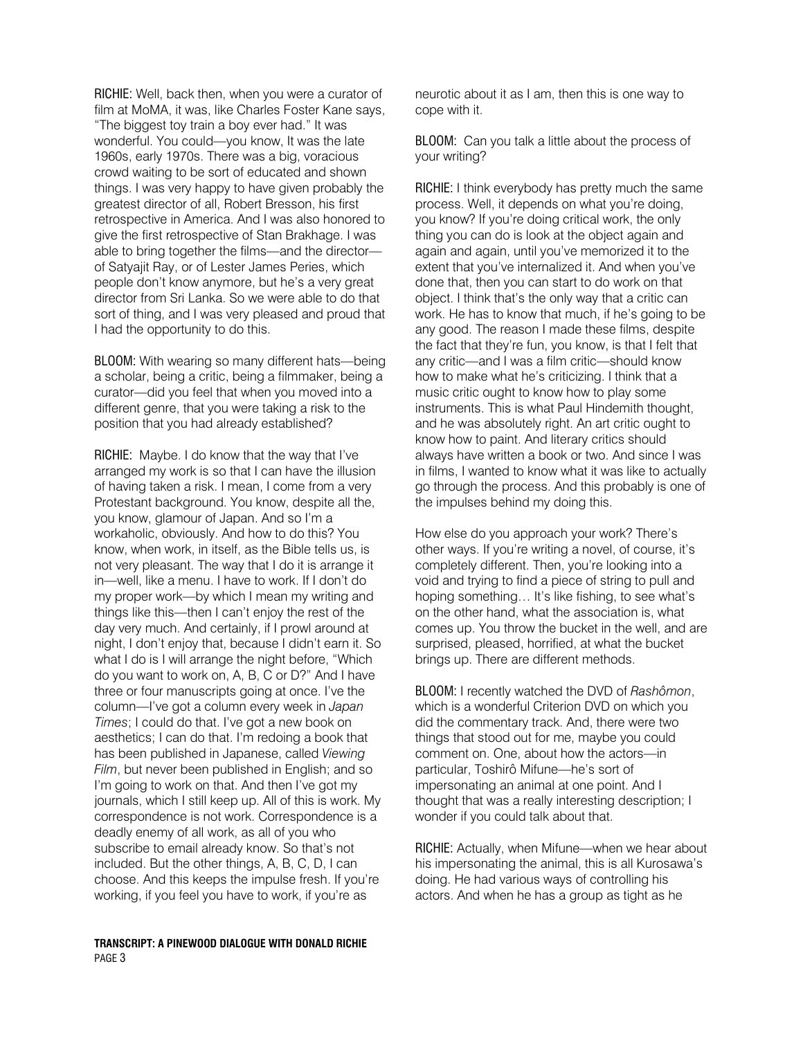RICHIE: Well, back then, when you were a curator of film at MoMA, it was, like Charles Foster Kane says, "The biggest toy train a boy ever had." It was wonderful. You could—you know, It was the late 1960s, early 1970s. There was a big, voracious crowd waiting to be sort of educated and shown things. I was very happy to have given probably the greatest director of all, Robert Bresson, his first retrospective in America. And I was also honored to give the first retrospective of Stan Brakhage. I was able to bring together the films—and the director of Satyajit Ray, or of Lester James Peries, which people don't know anymore, but he's a very great director from Sri Lanka. So we were able to do that sort of thing, and I was very pleased and proud that I had the opportunity to do this.

BLOOM: With wearing so many different hats—being a scholar, being a critic, being a filmmaker, being a curator—did you feel that when you moved into a different genre, that you were taking a risk to the position that you had already established?

RICHIE: Maybe. I do know that the way that I've arranged my work is so that I can have the illusion of having taken a risk. I mean, I come from a very Protestant background. You know, despite all the, you know, glamour of Japan. And so I'm a workaholic, obviously. And how to do this? You know, when work, in itself, as the Bible tells us, is not very pleasant. The way that I do it is arrange it in—well, like a menu. I have to work. If I don't do my proper work—by which I mean my writing and things like this—then I can't enjoy the rest of the day very much. And certainly, if I prowl around at night, I don't enjoy that, because I didn't earn it. So what I do is I will arrange the night before, "Which do you want to work on, A, B, C or D?" And I have three or four manuscripts going at once. I've the column—I've got a column every week in Japan Times; I could do that. I've got a new book on aesthetics; I can do that. I'm redoing a book that has been published in Japanese, called Viewing Film, but never been published in English; and so I'm going to work on that. And then I've got my journals, which I still keep up. All of this is work. My correspondence is not work. Correspondence is a deadly enemy of all work, as all of you who subscribe to email already know. So that's not included. But the other things, A, B, C, D, I can choose. And this keeps the impulse fresh. If you're working, if you feel you have to work, if you're as

neurotic about it as I am, then this is one way to cope with it.

BLOOM: Can you talk a little about the process of your writing?

RICHIE: I think everybody has pretty much the same process. Well, it depends on what you're doing, you know? If you're doing critical work, the only thing you can do is look at the object again and again and again, until you've memorized it to the extent that you've internalized it. And when you've done that, then you can start to do work on that object. I think that's the only way that a critic can work. He has to know that much, if he's going to be any good. The reason I made these films, despite the fact that they're fun, you know, is that I felt that any critic—and I was a film critic—should know how to make what he's criticizing. I think that a music critic ought to know how to play some instruments. This is what Paul Hindemith thought, and he was absolutely right. An art critic ought to know how to paint. And literary critics should always have written a book or two. And since I was in films, I wanted to know what it was like to actually go through the process. And this probably is one of the impulses behind my doing this.

How else do you approach your work? There's other ways. If you're writing a novel, of course, it's completely different. Then, you're looking into a void and trying to find a piece of string to pull and hoping something... It's like fishing, to see what's on the other hand, what the association is, what comes up. You throw the bucket in the well, and are surprised, pleased, horrified, at what the bucket brings up. There are different methods.

BLOOM: I recently watched the DVD of Rashômon, which is a wonderful Criterion DVD on which you did the commentary track. And, there were two things that stood out for me, maybe you could comment on. One, about how the actors—in particular, Toshirô Mifune—he's sort of impersonating an animal at one point. And I thought that was a really interesting description; I wonder if you could talk about that.

RICHIE: Actually, when Mifune—when we hear about his impersonating the animal, this is all Kurosawa's doing. He had various ways of controlling his actors. And when he has a group as tight as he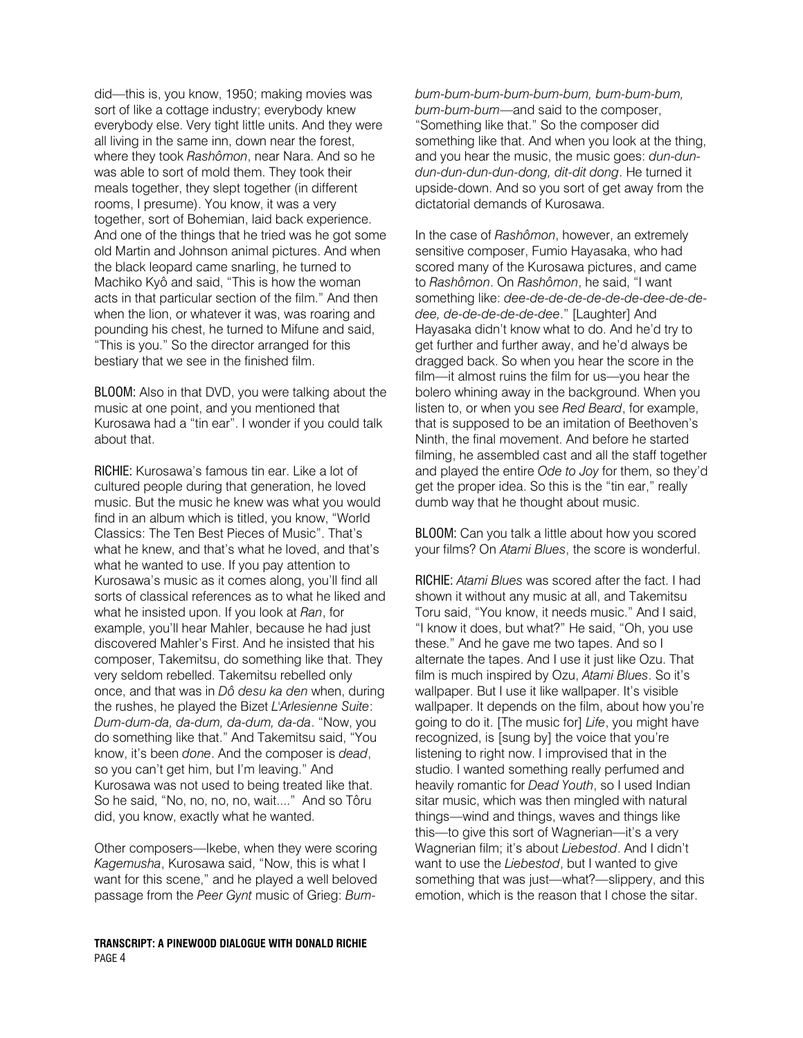did—this is, you know, 1950; making movies was sort of like a cottage industry; everybody knew everybody else. Very tight little units. And they were all living in the same inn, down near the forest, where they took Rashômon, near Nara. And so he was able to sort of mold them. They took their meals together, they slept together (in different rooms, I presume). You know, it was a very together, sort of Bohemian, laid back experience. And one of the things that he tried was he got some old Martin and Johnson animal pictures. And when the black leopard came snarling, he turned to Machiko Kyô and said, "This is how the woman acts in that particular section of the film." And then when the lion, or whatever it was, was roaring and pounding his chest, he turned to Mifune and said, "This is you." So the director arranged for this bestiary that we see in the finished film.

BLOOM: Also in that DVD, you were talking about the music at one point, and you mentioned that Kurosawa had a "tin ear". I wonder if you could talk about that.

RICHIE: Kurosawa's famous tin ear. Like a lot of cultured people during that generation, he loved music. But the music he knew was what you would find in an album which is titled, you know, "World Classics: The Ten Best Pieces of Music". That's what he knew, and that's what he loved, and that's what he wanted to use. If you pay attention to Kurosawa's music as it comes along, you'll find all sorts of classical references as to what he liked and what he insisted upon. If you look at Ran, for example, you'll hear Mahler, because he had just discovered Mahler's First. And he insisted that his composer, Takemitsu, do something like that. They very seldom rebelled. Takemitsu rebelled only once, and that was in Dô desu ka den when, during the rushes, he played the Bizet L'Arlesienne Suite: Dum-dum-da, da-dum, da-dum, da-da. "Now, you do something like that." And Takemitsu said, "You know, it's been done. And the composer is dead, so you can't get him, but I'm leaving." And Kurosawa was not used to being treated like that. So he said, "No, no, no, no, wait...." And so Tôru did, you know, exactly what he wanted.

Other composers—Ikebe, when they were scoring Kagemusha, Kurosawa said, "Now, this is what I want for this scene," and he played a well beloved passage from the Peer Gynt music of Grieg: Bum-

TRANSCRIPT: A PINEWOOD DIALOGUE WITH DONALD RICHIE PAGE 4

bum-bum-bum-bum-bum-bum, bum-bum-bum, bum-bum-bum—and said to the composer, "Something like that." So the composer did something like that. And when you look at the thing, and you hear the music, the music goes: dun-dundun-dun-dun-dun-dong, dit-dit dong. He turned it upside-down. And so you sort of get away from the dictatorial demands of Kurosawa.

In the case of Rashômon, however, an extremely sensitive composer, Fumio Hayasaka, who had scored many of the Kurosawa pictures, and came to Rashômon. On Rashômon, he said, "I want something like: dee-de-de-de-de-de-de-de-de-dedee, de-de-de-de-de-dee." [Laughter] And Hayasaka didn't know what to do. And he'd try to get further and further away, and he'd always be dragged back. So when you hear the score in the film—it almost ruins the film for us—you hear the bolero whining away in the background. When you listen to, or when you see Red Beard, for example, that is supposed to be an imitation of Beethoven's Ninth, the final movement. And before he started filming, he assembled cast and all the staff together and played the entire Ode to Joy for them, so they'd get the proper idea. So this is the "tin ear," really dumb way that he thought about music.

BLOOM: Can you talk a little about how you scored your films? On Atami Blues, the score is wonderful.

RICHIE: Atami Blues was scored after the fact. I had shown it without any music at all, and Takemitsu Toru said, "You know, it needs music." And I said, "I know it does, but what?" He said, "Oh, you use these." And he gave me two tapes. And so I alternate the tapes. And I use it just like Ozu. That film is much inspired by Ozu, Atami Blues. So it's wallpaper. But I use it like wallpaper. It's visible wallpaper. It depends on the film, about how you're going to do it. [The music for] Life, you might have recognized, is [sung by] the voice that you're listening to right now. I improvised that in the studio. I wanted something really perfumed and heavily romantic for Dead Youth, so I used Indian sitar music, which was then mingled with natural things—wind and things, waves and things like this—to give this sort of Wagnerian—it's a very Wagnerian film; it's about Liebestod. And I didn't want to use the Liebestod, but I wanted to give something that was just—what?—slippery, and this emotion, which is the reason that I chose the sitar.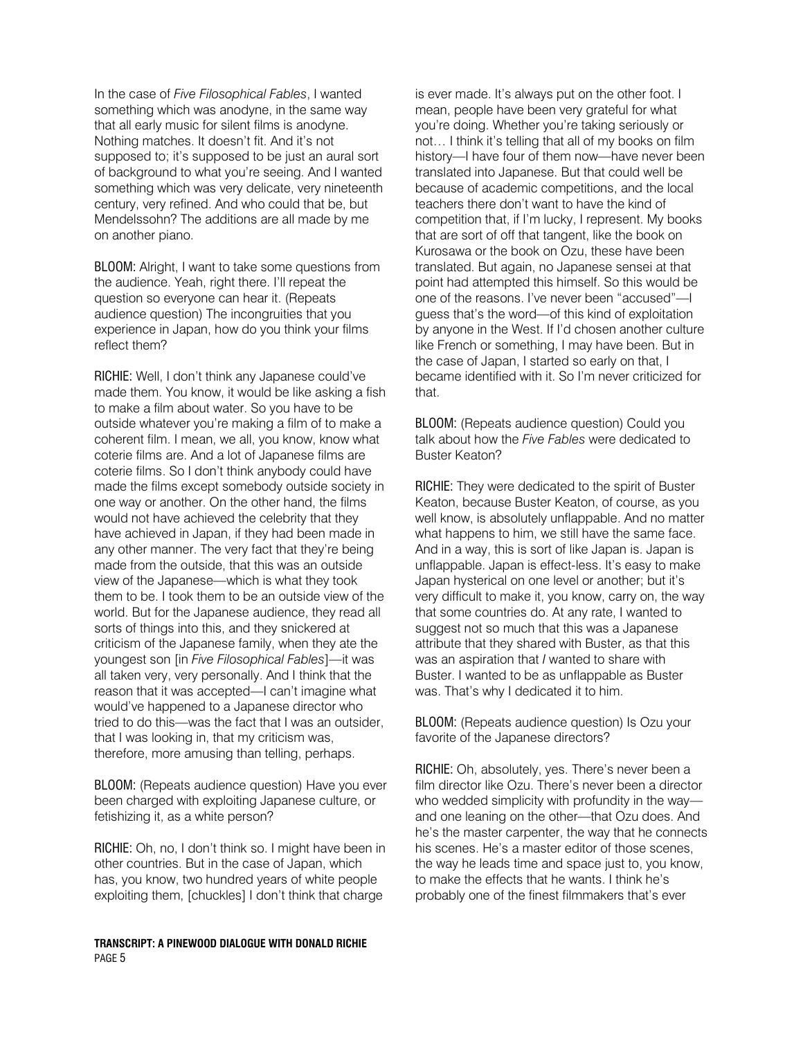In the case of Five Filosophical Fables, I wanted something which was anodyne, in the same way that all early music for silent films is anodyne. Nothing matches. It doesn't fit. And it's not supposed to; it's supposed to be just an aural sort of background to what you're seeing. And I wanted something which was very delicate, very nineteenth century, very refined. And who could that be, but Mendelssohn? The additions are all made by me on another piano.

BLOOM: Alright, I want to take some questions from the audience. Yeah, right there. I'll repeat the question so everyone can hear it. (Repeats audience question) The incongruities that you experience in Japan, how do you think your films reflect them?

RICHIE: Well, I don't think any Japanese could've made them. You know, it would be like asking a fish to make a film about water. So you have to be outside whatever you're making a film of to make a coherent film. I mean, we all, you know, know what coterie films are. And a lot of Japanese films are coterie films. So I don't think anybody could have made the films except somebody outside society in one way or another. On the other hand, the films would not have achieved the celebrity that they have achieved in Japan, if they had been made in any other manner. The very fact that they're being made from the outside, that this was an outside view of the Japanese—which is what they took them to be. I took them to be an outside view of the world. But for the Japanese audience, they read all sorts of things into this, and they snickered at criticism of the Japanese family, when they ate the youngest son [in Five Filosophical Fables]—it was all taken very, very personally. And I think that the reason that it was accepted—I can't imagine what would've happened to a Japanese director who tried to do this—was the fact that I was an outsider, that I was looking in, that my criticism was, therefore, more amusing than telling, perhaps.

BLOOM: (Repeats audience question) Have you ever been charged with exploiting Japanese culture, or fetishizing it, as a white person?

RICHIE: Oh, no, I don't think so. I might have been in other countries. But in the case of Japan, which has, you know, two hundred years of white people exploiting them, [chuckles] I don't think that charge

#### TRANSCRIPT: A PINEWOOD DIALOGUE WITH DONALD RICHIE PAGE 5

is ever made. It's always put on the other foot. I mean, people have been very grateful for what you're doing. Whether you're taking seriously or not… I think it's telling that all of my books on film history—I have four of them now—have never been translated into Japanese. But that could well be because of academic competitions, and the local teachers there don't want to have the kind of competition that, if I'm lucky, I represent. My books that are sort of off that tangent, like the book on Kurosawa or the book on Ozu, these have been translated. But again, no Japanese sensei at that point had attempted this himself. So this would be one of the reasons. I've never been "accused"—I guess that's the word—of this kind of exploitation by anyone in the West. If I'd chosen another culture like French or something, I may have been. But in the case of Japan, I started so early on that, I became identified with it. So I'm never criticized for that.

BLOOM: (Repeats audience question) Could you talk about how the Five Fables were dedicated to Buster Keaton?

RICHIE: They were dedicated to the spirit of Buster Keaton, because Buster Keaton, of course, as you well know, is absolutely unflappable. And no matter what happens to him, we still have the same face. And in a way, this is sort of like Japan is. Japan is unflappable. Japan is effect-less. It's easy to make Japan hysterical on one level or another; but it's very difficult to make it, you know, carry on, the way that some countries do. At any rate, I wanted to suggest not so much that this was a Japanese attribute that they shared with Buster, as that this was an aspiration that I wanted to share with Buster. I wanted to be as unflappable as Buster was. That's why I dedicated it to him.

BLOOM: (Repeats audience question) Is Ozu your favorite of the Japanese directors?

RICHIE: Oh, absolutely, yes. There's never been a film director like Ozu. There's never been a director who wedded simplicity with profundity in the way and one leaning on the other—that Ozu does. And he's the master carpenter, the way that he connects his scenes. He's a master editor of those scenes, the way he leads time and space just to, you know, to make the effects that he wants. I think he's probably one of the finest filmmakers that's ever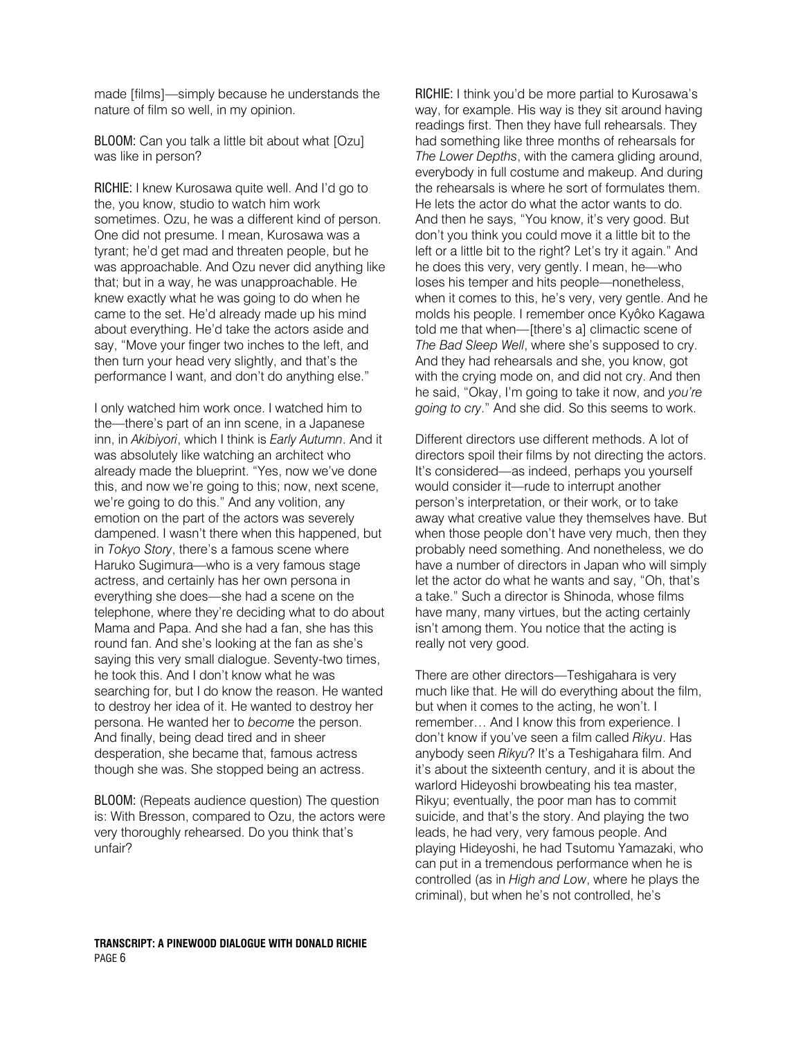made [films]—simply because he understands the nature of film so well, in my opinion.

BLOOM: Can you talk a little bit about what [Ozu] was like in person?

RICHIE: I knew Kurosawa quite well. And I'd go to the, you know, studio to watch him work sometimes. Ozu, he was a different kind of person. One did not presume. I mean, Kurosawa was a tyrant; he'd get mad and threaten people, but he was approachable. And Ozu never did anything like that; but in a way, he was unapproachable. He knew exactly what he was going to do when he came to the set. He'd already made up his mind about everything. He'd take the actors aside and say, "Move your finger two inches to the left, and then turn your head very slightly, and that's the performance I want, and don't do anything else."

I only watched him work once. I watched him to the—there's part of an inn scene, in a Japanese inn, in Akibiyori, which I think is Early Autumn. And it was absolutely like watching an architect who already made the blueprint. "Yes, now we've done this, and now we're going to this; now, next scene, we're going to do this." And any volition, any emotion on the part of the actors was severely dampened. I wasn't there when this happened, but in Tokyo Story, there's a famous scene where Haruko Sugimura—who is a very famous stage actress, and certainly has her own persona in everything she does—she had a scene on the telephone, where they're deciding what to do about Mama and Papa. And she had a fan, she has this round fan. And she's looking at the fan as she's saying this very small dialogue. Seventy-two times, he took this. And I don't know what he was searching for, but I do know the reason. He wanted to destroy her idea of it. He wanted to destroy her persona. He wanted her to become the person. And finally, being dead tired and in sheer desperation, she became that, famous actress though she was. She stopped being an actress.

BLOOM: (Repeats audience question) The question is: With Bresson, compared to Ozu, the actors were very thoroughly rehearsed. Do you think that's unfair?

RICHIE: I think you'd be more partial to Kurosawa's way, for example. His way is they sit around having readings first. Then they have full rehearsals. They had something like three months of rehearsals for The Lower Depths, with the camera gliding around, everybody in full costume and makeup. And during the rehearsals is where he sort of formulates them. He lets the actor do what the actor wants to do. And then he says, "You know, it's very good. But don't you think you could move it a little bit to the left or a little bit to the right? Let's try it again." And he does this very, very gently. I mean, he—who loses his temper and hits people—nonetheless, when it comes to this, he's very, very gentle. And he molds his people. I remember once Kyôko Kagawa told me that when—[there's a] climactic scene of The Bad Sleep Well, where she's supposed to cry. And they had rehearsals and she, you know, got with the crying mode on, and did not cry. And then he said, "Okay, I'm going to take it now, and you're going to cry." And she did. So this seems to work.

Different directors use different methods. A lot of directors spoil their films by not directing the actors. It's considered—as indeed, perhaps you yourself would consider it—rude to interrupt another person's interpretation, or their work, or to take away what creative value they themselves have. But when those people don't have very much, then they probably need something. And nonetheless, we do have a number of directors in Japan who will simply let the actor do what he wants and say, "Oh, that's a take." Such a director is Shinoda, whose films have many, many virtues, but the acting certainly isn't among them. You notice that the acting is really not very good.

There are other directors—Teshigahara is very much like that. He will do everything about the film, but when it comes to the acting, he won't. I remember… And I know this from experience. I don't know if you've seen a film called Rikyu. Has anybody seen Rikyu? It's a Teshigahara film. And it's about the sixteenth century, and it is about the warlord Hideyoshi browbeating his tea master, Rikyu; eventually, the poor man has to commit suicide, and that's the story. And playing the two leads, he had very, very famous people. And playing Hideyoshi, he had Tsutomu Yamazaki, who can put in a tremendous performance when he is controlled (as in High and Low, where he plays the criminal), but when he's not controlled, he's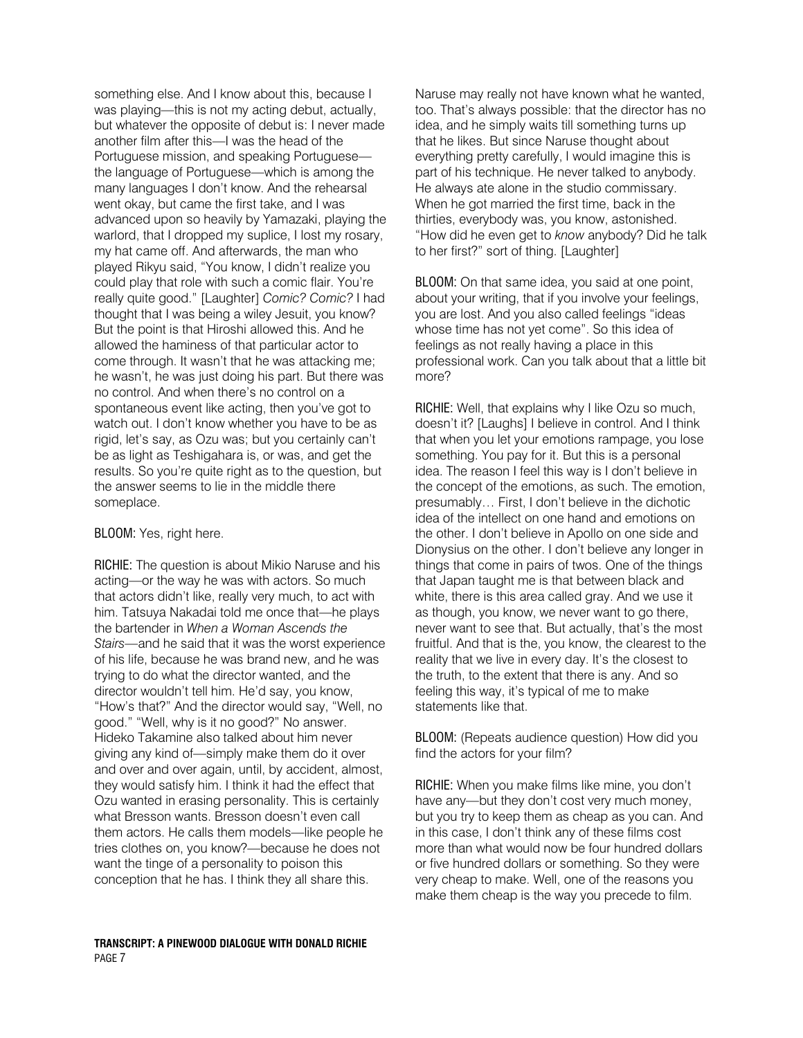something else. And I know about this, because I was playing—this is not my acting debut, actually, but whatever the opposite of debut is: I never made another film after this—I was the head of the Portuguese mission, and speaking Portuguese the language of Portuguese—which is among the many languages I don't know. And the rehearsal went okay, but came the first take, and I was advanced upon so heavily by Yamazaki, playing the warlord, that I dropped my suplice, I lost my rosary, my hat came off. And afterwards, the man who played Rikyu said, "You know, I didn't realize you could play that role with such a comic flair. You're really quite good." [Laughter] Comic? Comic? I had thought that I was being a wiley Jesuit, you know? But the point is that Hiroshi allowed this. And he allowed the haminess of that particular actor to come through. It wasn't that he was attacking me; he wasn't, he was just doing his part. But there was no control. And when there's no control on a spontaneous event like acting, then you've got to watch out. I don't know whether you have to be as rigid, let's say, as Ozu was; but you certainly can't be as light as Teshigahara is, or was, and get the results. So you're quite right as to the question, but the answer seems to lie in the middle there someplace.

#### BLOOM: Yes, right here.

RICHIE: The question is about Mikio Naruse and his acting—or the way he was with actors. So much that actors didn't like, really very much, to act with him. Tatsuya Nakadai told me once that—he plays the bartender in When a Woman Ascends the Stairs—and he said that it was the worst experience of his life, because he was brand new, and he was trying to do what the director wanted, and the director wouldn't tell him. He'd say, you know, "How's that?" And the director would say, "Well, no good." "Well, why is it no good?" No answer. Hideko Takamine also talked about him never giving any kind of—simply make them do it over and over and over again, until, by accident, almost, they would satisfy him. I think it had the effect that Ozu wanted in erasing personality. This is certainly what Bresson wants. Bresson doesn't even call them actors. He calls them models—like people he tries clothes on, you know?—because he does not want the tinge of a personality to poison this conception that he has. I think they all share this.

Naruse may really not have known what he wanted, too. That's always possible: that the director has no idea, and he simply waits till something turns up that he likes. But since Naruse thought about everything pretty carefully, I would imagine this is part of his technique. He never talked to anybody. He always ate alone in the studio commissary. When he got married the first time, back in the thirties, everybody was, you know, astonished. "How did he even get to know anybody? Did he talk to her first?" sort of thing. [Laughter]

BLOOM: On that same idea, you said at one point, about your writing, that if you involve your feelings, you are lost. And you also called feelings "ideas whose time has not yet come". So this idea of feelings as not really having a place in this professional work. Can you talk about that a little bit more?

RICHIE: Well, that explains why I like Ozu so much, doesn't it? [Laughs] I believe in control. And I think that when you let your emotions rampage, you lose something. You pay for it. But this is a personal idea. The reason I feel this way is I don't believe in the concept of the emotions, as such. The emotion, presumably… First, I don't believe in the dichotic idea of the intellect on one hand and emotions on the other. I don't believe in Apollo on one side and Dionysius on the other. I don't believe any longer in things that come in pairs of twos. One of the things that Japan taught me is that between black and white, there is this area called gray. And we use it as though, you know, we never want to go there, never want to see that. But actually, that's the most fruitful. And that is the, you know, the clearest to the reality that we live in every day. It's the closest to the truth, to the extent that there is any. And so feeling this way, it's typical of me to make statements like that.

BLOOM: (Repeats audience question) How did you find the actors for your film?

RICHIE: When you make films like mine, you don't have any—but they don't cost very much money, but you try to keep them as cheap as you can. And in this case, I don't think any of these films cost more than what would now be four hundred dollars or five hundred dollars or something. So they were very cheap to make. Well, one of the reasons you make them cheap is the way you precede to film.